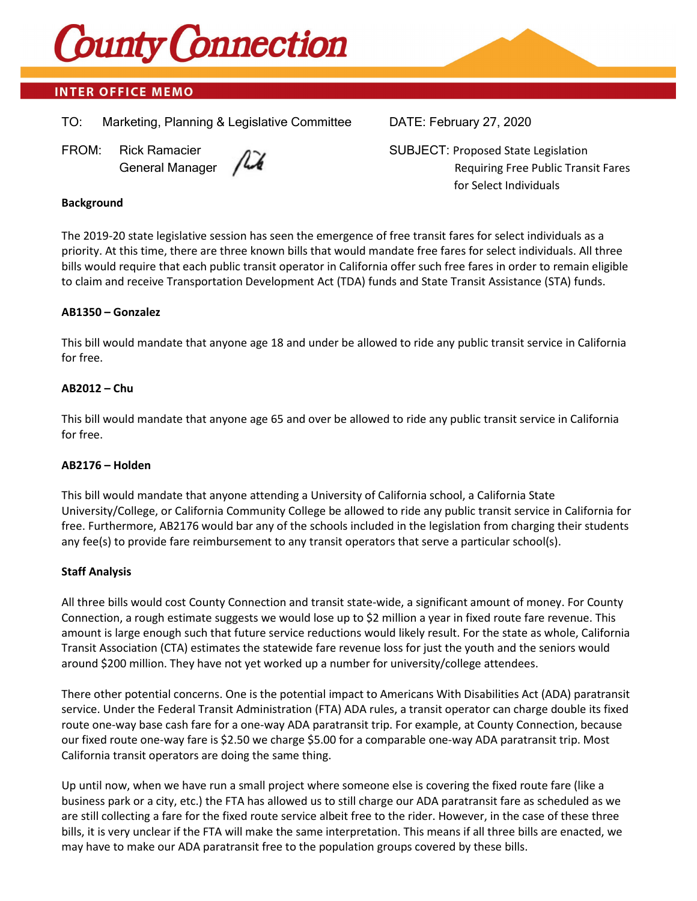

# **INTER OFFICE MEMO**

TO: Marketing, Planning & Legislative Committee DATE: February 27, 2020



FROM: Rick Ramacier  $\sqrt{2}$  SUBJECT: Proposed State Legislation General Manager  $\sqrt{2}$ for Select Individuals

### **Background**

The 2019-20 state legislative session has seen the emergence of free transit fares for select individuals as a priority. At this time, there are three known bills that would mandate free fares for select individuals. All three bills would require that each public transit operator in California offer such free fares in order to remain eligible to claim and receive Transportation Development Act (TDA) funds and State Transit Assistance (STA) funds.

# **AB1350 – Gonzalez**

This bill would mandate that anyone age 18 and under be allowed to ride any public transit service in California for free.

# **AB2012 – Chu**

This bill would mandate that anyone age 65 and over be allowed to ride any public transit service in California for free.

### **AB2176 – Holden**

This bill would mandate that anyone attending a University of California school, a California State University/College, or California Community College be allowed to ride any public transit service in California for free. Furthermore, AB2176 would bar any of the schools included in the legislation from charging their students any fee(s) to provide fare reimbursement to any transit operators that serve a particular school(s).

### **Staff Analysis**

All three bills would cost County Connection and transit state-wide, a significant amount of money. For County Connection, a rough estimate suggests we would lose up to \$2 million a year in fixed route fare revenue. This amount is large enough such that future service reductions would likely result. For the state as whole, California Transit Association (CTA) estimates the statewide fare revenue loss for just the youth and the seniors would around \$200 million. They have not yet worked up a number for university/college attendees.

There other potential concerns. One is the potential impact to Americans With Disabilities Act (ADA) paratransit service. Under the Federal Transit Administration (FTA) ADA rules, a transit operator can charge double its fixed route one-way base cash fare for a one-way ADA paratransit trip. For example, at County Connection, because our fixed route one-way fare is \$2.50 we charge \$5.00 for a comparable one-way ADA paratransit trip. Most California transit operators are doing the same thing.

Up until now, when we have run a small project where someone else is covering the fixed route fare (like a business park or a city, etc.) the FTA has allowed us to still charge our ADA paratransit fare as scheduled as we are still collecting a fare for the fixed route service albeit free to the rider. However, in the case of these three bills, it is very unclear if the FTA will make the same interpretation. This means if all three bills are enacted, we may have to make our ADA paratransit free to the population groups covered by these bills.